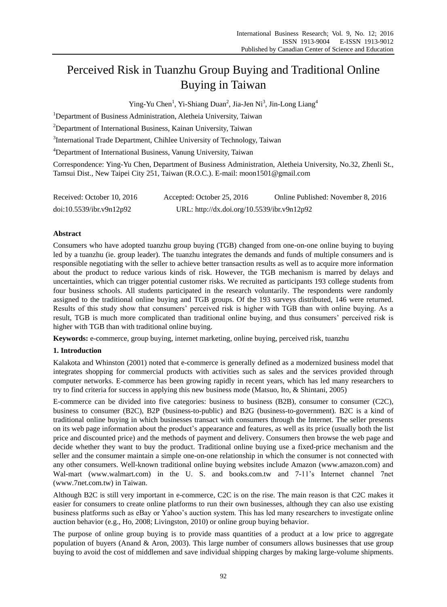# Perceived Risk in Tuanzhu Group Buying and Traditional Online Buying in Taiwan

Ying-Yu Chen<sup>1</sup>, Yi-Shiang Duan<sup>2</sup>, Jia-Jen Ni<sup>3</sup>, Jin-Long Liang<sup>4</sup>

<sup>1</sup>Department of Business Administration, Aletheia University, Taiwan

<sup>2</sup>Department of International Business, Kainan University, Taiwan

<sup>3</sup>International Trade Department, Chihlee University of Technology, Taiwan

<sup>4</sup>Department of International Business, Vanung University, Taiwan

Correspondence: Ying-Yu Chen, Department of Business Administration, Aletheia University, No.32, Zhenli St., Tamsui Dist., New Taipei City 251, Taiwan (R.O.C.). E-mail: moon1501@gmail.com

| Received: October 10, 2016 | Accepted: October 25, 2016                  | Online Published: November 8, 2016 |
|----------------------------|---------------------------------------------|------------------------------------|
| doi:10.5539/ibr.v9n12p92   | URL: http://dx.doi.org/10.5539/ibr.v9n12p92 |                                    |

# **Abstract**

Consumers who have adopted tuanzhu group buying (TGB) changed from one-on-one online buying to buying led by a tuanzhu (ie. group leader). The tuanzhu integrates the demands and funds of multiple consumers and is responsible negotiating with the seller to achieve better transaction results as well as to acquire more information about the product to reduce various kinds of risk. However, the TGB mechanism is marred by delays and uncertainties, which can trigger potential customer risks. We recruited as participants 193 college students from four business schools. All students participated in the research voluntarily. The respondents were randomly assigned to the traditional online buying and TGB groups. Of the 193 surveys distributed, 146 were returned. Results of this study show that consumers' perceived risk is higher with TGB than with online buying. As a result, TGB is much more complicated than traditional online buying, and thus consumers' perceived risk is higher with TGB than with traditional online buying.

**Keywords:** e-commerce, group buying, internet marketing, online buying, perceived risk, tuanzhu

# **1. Introduction**

Kalakota and Whinston (2001) noted that e-commerce is generally defined as a modernized business model that integrates shopping for commercial products with activities such as sales and the services provided through computer networks. E-commerce has been growing rapidly in recent years, which has led many researchers to try to find criteria for success in applying this new business mode (Matsuo, Ito, & Shintani, 2005)

E-commerce can be divided into five categories: business to business (B2B), consumer to consumer (C2C), business to consumer (B2C), B2P (business-to-public) and B2G (business-to-government). B2C is a kind of traditional online buying in which businesses transact with consumers through the Internet. The seller presents on its web page information about the product's appearance and features, as well as its price (usually both the list price and discounted price) and the methods of payment and delivery. Consumers then browse the web page and decide whether they want to buy the product. Traditional online buying use a fixed-price mechanism and the seller and the consumer maintain a simple one-on-one relationship in which the consumer is not connected with any other consumers. Well-known traditional online buying websites include Amazon (www.amazon.com) and Wal-mart (www.walmart.com) in the U. S. and books.com.tw and 7-11's Internet channel 7net (www.7net.com.tw) in Taiwan.

Although B2C is still very important in e-commerce, C2C is on the rise. The main reason is that C2C makes it easier for consumers to create online platforms to run their own businesses, although they can also use existing business platforms such as eBay or Yahoo's auction system. This has led many researchers to investigate online auction behavior (e.g., Ho, 2008; Livingston, 2010) or online group buying behavior.

The purpose of online group buying is to provide mass quantities of a product at a low price to aggregate population of buyers (Anand & Aron, 2003). This large number of consumers allows businesses that use group buying to avoid the cost of middlemen and save individual shipping charges by making large-volume shipments.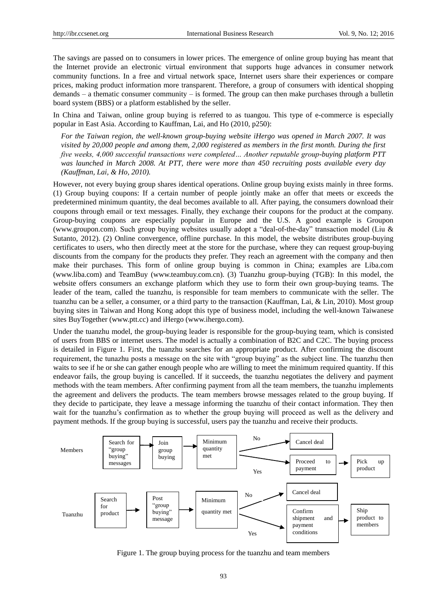The savings are passed on to consumers in lower prices. The emergence of online group buying has meant that the Internet provide an electronic virtual environment that supports huge advances in consumer network community functions. In a free and virtual network space, Internet users share their experiences or compare prices, making product information more transparent. Therefore, a group of consumers with identical shopping demands – a thematic consumer community – is formed. The group can then make purchases through a bulletin board system (BBS) or a platform established by the seller.

In China and Taiwan, online group buying is referred to as tuangou. This type of e-commerce is especially popular in East Asia. According to Kauffman, Lai, and Ho (2010, p250):

*For the Taiwan region, the well-known group-buying website iHergo was opened in March 2007. It was visited by 20,000 people and among them, 2,000 registered as members in the first month. During the first five weeks, 4,000 successful transactions were completed… Another reputable group-buying platform PTT was launched in March 2008. At PTT, there were more than 450 recruiting posts available every day (Kauffman, Lai, & Ho, 2010).*

However, not every buying group shares identical operations. Online group buying exists mainly in three forms. (1) Group buying coupons: If a certain number of people jointly make an offer that meets or exceeds the predetermined minimum quantity, the deal becomes available to all. After paying, the consumers download their coupons through email or text messages. Finally, they exchange their coupons for the product at the company. Group-buying coupons are especially popular in Europe and the U.S. A good example is Groupon [\(www.groupon.com\)](http://www.groupon.com/st-johns/). Such group buying websites usually adopt a "deal-of-the-day" transaction model (Liu & Sutanto, 2012). (2) Online convergence, offline purchase. In this model, the website distributes group-buying certificates to users, who then directly meet at the store for the purchase, where they can request group-buying discounts from the company for the products they prefer. They reach an agreement with the company and then make their purchases. This form of online group buying is common in China; examples are Liba.com (www.liba.com) and TeamBuy (www.teambuy.com.cn). (3) Tuanzhu group-buying (TGB): In this model, the website offers consumers an exchange platform which they use to form their own group-buying teams. The leader of the team, called the tuanzhu, is responsible for team members to communicate with the seller. The tuanzhu can be a seller, a consumer, or a third party to the transaction (Kauffman, Lai, & Lin, 2010). Most group buying sites in Taiwan and Hong Kong adopt this type of business model, including the well-known Taiwanese sites BuyTogether (www.ptt.cc) and iHergo [\(www.ihergo.com\)](http://www.ihergo.com/).

Under the tuanzhu model, the group-buying leader is responsible for the group-buying team, which is consisted of users from BBS or internet users. The model is actually a combination of B2C and C2C. The buying process is detailed in Figure 1. First, the tuanzhu searches for an appropriate product. After confirming the discount requirement, the tunazhu posts a message on the site with "group buying" as the subject line. The tuanzhu then waits to see if he or she can gather enough people who are willing to meet the minimum required quantity. If this endeavor fails, the group buying is cancelled. If it succeeds, the tuanzhu negotiates the delivery and payment methods with the team members. After confirming payment from all the team members, the tuanzhu implements the agreement and delivers the products. The team members browse messages related to the group buying. If they decide to participate, they leave a message informing the tuanzhu of their contact information. They then wait for the tuanzhu's confirmation as to whether the group buying will proceed as well as the delivery and payment methods. If the group buying is successful, users pay the tuanzhu and receive their products.



Figure 1. The group buying process for the tuanzhu and team members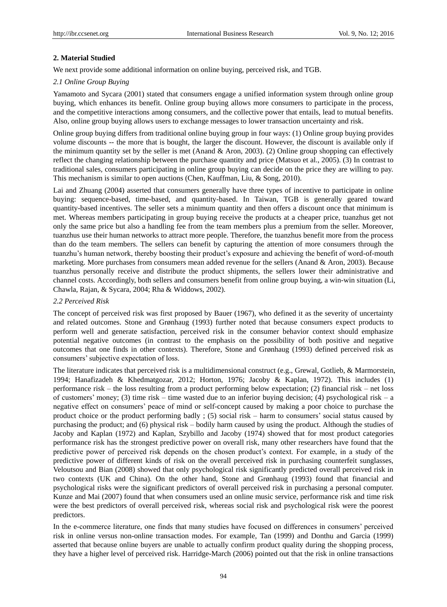#### **2. Material Studied**

We next provide some additional information on online buying, perceived risk, and TGB.

#### *2.1 Online Group Buying*

Yamamoto and Sycara (2001) stated that consumers engage a unified information system through online group buying, which enhances its benefit. Online group buying allows more consumers to participate in the process, and the competitive interactions among consumers, and the collective power that entails, lead to mutual benefits. Also, online group buying allows users to exchange messages to lower transaction uncertainty and risk.

Online group buying differs from traditional online buying group in four ways: (1) Online group buying provides volume discounts -- the more that is bought, the larger the discount. However, the discount is available only if the minimum quantity set by the seller is met (Anand & Aron, 2003). (2) Online group shopping can effectively reflect the changing relationship between the purchase quantity and price (Matsuo et al., 2005). (3) In contrast to traditional sales, consumers participating in online group buying can decide on the price they are willing to pay. This mechanism is similar to open auctions (Chen, Kauffman, Liu, & Song, 2010).

Lai and Zhuang (2004) asserted that consumers generally have three types of incentive to participate in online buying: sequence-based, time-based, and quantity-based. In Taiwan, TGB is generally geared toward quantity-based incentives. The seller sets a minimum quantity and then offers a discount once that minimum is met. Whereas members participating in group buying receive the products at a cheaper price, tuanzhus get not only the same price but also a handling fee from the team members plus a premium from the seller. Moreover, tuanzhus use their human networks to attract more people. Therefore, the tuanzhus benefit more from the process than do the team members. The sellers can benefit by capturing the attention of more consumers through the tuanzhu's human network, thereby boosting their product's exposure and achieving the benefit of word-of-mouth marketing. More purchases from consumers mean added revenue for the sellers (Anand & Aron, 2003). Because tuanzhus personally receive and distribute the product shipments, the sellers lower their administrative and channel costs. Accordingly, both sellers and consumers benefit from online group buying, a win-win situation (Li, Chawla, Rajan, & Sycara, 2004; Rha & Widdows, 2002).

#### *2.2 Perceived Risk*

The concept of perceived risk was first proposed by Bauer (1967), who defined it as the severity of uncertainty and related outcomes. Stone and Grønhaug (1993) further noted that because consumers expect products to perform well and generate satisfaction, perceived risk in the consumer behavior context should emphasize potential negative outcomes (in contrast to the emphasis on the possibility of both positive and negative outcomes that one finds in other contexts). Therefore, Stone and Grønhaug (1993) defined perceived risk as consumers' subjective expectation of loss.

The literature indicates that perceived risk is a multidimensional construct (e.g., Grewal, Gotlieb, & Marmorstein, 1994; Hanafizadeh & Khedmatgozar, 2012; Horton, 1976; Jacoby & Kaplan, 1972). This includes (1) performance risk – the loss resulting from a product performing below expectation; (2) financial risk – net loss of customers' money; (3) time risk – time wasted due to an inferior buying decision; (4) psychological risk – a negative effect on consumers' peace of mind or self-concept caused by making a poor choice to purchase the product choice or the product performing badly ; (5) social risk – harm to consumers' social status caused by purchasing the product; and (6) physical risk – bodily harm caused by using the product. Although the studies of Jacoby and Kaplan (1972) and Kaplan, Szybillo and Jacoby (1974) showed that for most product categories performance risk has the strongest predictive power on overall risk, many other researchers have found that the predictive power of perceived risk depends on the chosen product's context. For example, in a study of the predictive power of different kinds of risk on the overall perceived risk in purchasing counterfeit sunglasses, Veloutsou and Bian (2008) showed that only psychological risk significantly predicted overall perceived risk in two contexts (UK and China). On the other hand, Stone and Grønhaug (1993) found that financial and psychological risks were the significant predictors of overall perceived risk in purchasing a personal computer. Kunze and Mai (2007) found that when consumers used an online music service, performance risk and time risk were the best predictors of overall perceived risk, whereas social risk and psychological risk were the poorest predictors.

In the e-commerce literature, one finds that many studies have focused on differences in consumers' perceived risk in online versus non-online transaction modes. For example, Tan (1999) and Donthu and Garcia (1999) asserted that because online buyers are unable to actually confirm product quality during the shopping process, they have a higher level of perceived risk. Harridge-March (2006) pointed out that the risk in online transactions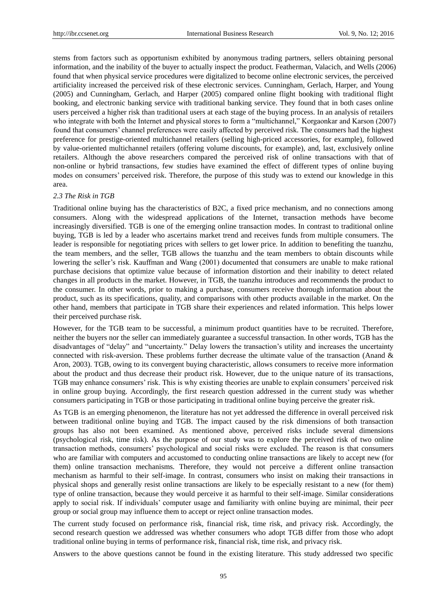stems from factors such as opportunism exhibited by anonymous trading partners, sellers obtaining personal information, and the inability of the buyer to actually inspect the product. Featherman, Valacich, and Wells (2006) found that when physical service procedures were digitalized to become online electronic services, the perceived artificiality increased the perceived risk of these electronic services. Cunningham, Gerlach, Harper, and Young (2005) and Cunningham, Gerlach, and Harper (2005) compared online flight booking with traditional flight booking, and electronic banking service with traditional banking service. They found that in both cases online users perceived a higher risk than traditional users at each stage of the buying process. In an analysis of retailers who integrate with both the Internet and physical stores to form a "multichannel," Korgaonkar and Karson (2007) found that consumers' channel preferences were easily affected by perceived risk. The consumers had the highest preference for prestige-oriented multichannel retailers (selling high-priced accessories, for example), followed by value-oriented multichannel retailers (offering volume discounts, for example), and, last, exclusively online retailers. Although the above researchers compared the perceived risk of online transactions with that of non-online or hybrid transactions, few studies have examined the effect of different types of online buying modes on consumers' perceived risk. Therefore, the purpose of this study was to extend our knowledge in this area.

#### *2.3 The Risk in TGB*

Traditional online buying has the characteristics of B2C, a fixed price mechanism, and no connections among consumers. Along with the widespread applications of the Internet, transaction methods have become increasingly diversified. TGB is one of the emerging online transaction modes. In contrast to traditional online buying, TGB is led by a leader who ascertains market trend and receives funds from multiple consumers. The leader is responsible for negotiating prices with sellers to get lower price. In addition to benefiting the tuanzhu, the team members, and the seller, TGB allows the tuanzhu and the team members to obtain discounts while lowering the seller's risk. Kauffman and Wang (2001) documented that consumers are unable to make rational purchase decisions that optimize value because of information distortion and their inability to detect related changes in all products in the market. However, in TGB, the tuanzhu introduces and recommends the product to the consumer. In other words, prior to making a purchase, consumers receive thorough information about the product, such as its specifications, quality, and comparisons with other products available in the market. On the other hand, members that participate in TGB share their experiences and related information. This helps lower their perceived purchase risk.

However, for the TGB team to be successful, a minimum product quantities have to be recruited. Therefore, neither the buyers nor the seller can immediately guarantee a successful transaction. In other words, TGB has the disadvantages of "delay" and "uncertainty." Delay lowers the transaction's utility and increases the uncertainty connected with risk-aversion. These problems further decrease the ultimate value of the transaction (Anand & Aron, 2003). TGB, owing to its convergent buying characteristic, allows consumers to receive more information about the product and thus decrease their product risk. However, due to the unique nature of its transactions, TGB may enhance consumers' risk. This is why existing theories are unable to explain consumers' perceived risk in online group buying. Accordingly, the first research question addressed in the current study was whether consumers participating in TGB or those participating in traditional online buying perceive the greater risk.

As TGB is an emerging phenomenon, the literature has not yet addressed the difference in overall perceived risk between traditional online buying and TGB. The impact caused by the risk dimensions of both transaction groups has also not been examined. As mentioned above, perceived risks include several dimensions (psychological risk, time risk). As the purpose of our study was to explore the perceived risk of two online transaction methods, consumers' psychological and social risks were excluded. The reason is that consumers who are familiar with computers and accustomed to conducting online transactions are likely to accept new (for them) online transaction mechanisms. Therefore, they would not perceive a different online transaction mechanism as harmful to their self-image. In contrast, consumers who insist on making their transactions in physical shops and generally resist online transactions are likely to be especially resistant to a new (for them) type of online transaction, because they would perceive it as harmful to their self-image. Similar considerations apply to social risk. If individuals' computer usage and familiarity with online buying are minimal, their peer group or social group may influence them to accept or reject online transaction modes.

The current study focused on performance risk, financial risk, time risk, and privacy risk. Accordingly, the second research question we addressed was whether consumers who adopt TGB differ from those who adopt traditional online buying in terms of performance risk, financial risk, time risk, and privacy risk.

Answers to the above questions cannot be found in the existing literature. This study addressed two specific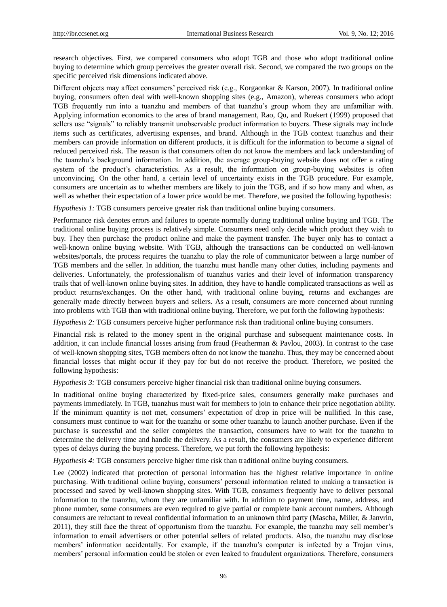research objectives. First, we compared consumers who adopt TGB and those who adopt traditional online buying to determine which group perceives the greater overall risk. Second, we compared the two groups on the specific perceived risk dimensions indicated above.

Different objects may affect consumers' perceived risk (e.g., Korgaonkar & Karson, 2007). In traditional online buying, consumers often deal with well-known shopping sites (e.g., Amazon), whereas consumers who adopt TGB frequently run into a tuanzhu and members of that tuanzhu's group whom they are unfamiliar with. Applying information economics to the area of brand management, Rao, Qu, and Ruekert (1999) proposed that sellers use "signals" to reliably transmit unobservable product information to buyers. These signals may include items such as certificates, advertising expenses, and brand. Although in the TGB context tuanzhus and their members can provide information on different products, it is difficult for the information to become a signal of reduced perceived risk. The reason is that consumers often do not know the members and lack understanding of the tuanzhu's background information. In addition, the average group-buying website does not offer a rating system of the product's characteristics. As a result, the information on group-buying websites is often unconvincing. On the other hand, a certain level of uncertainty exists in the TGB procedure. For example, consumers are uncertain as to whether members are likely to join the TGB, and if so how many and when, as well as whether their expectation of a lower price would be met. Therefore, we posited the following hypothesis:

*Hypothesis 1:* TGB consumers perceive greater risk than traditional online buying consumers.

Performance risk denotes errors and failures to operate normally during traditional online buying and TGB. The traditional online buying process is relatively simple. Consumers need only decide which product they wish to buy. They then purchase the product online and make the payment transfer. The buyer only has to contact a well-known online buying website. With TGB, although the transactions can be conducted on well-known websites/portals, the process requires the tuanzhu to play the role of communicator between a large number of TGB members and the seller. In addition, the tuanzhu must handle many other duties, including payments and deliveries. Unfortunately, the professionalism of tuanzhus varies and their level of information transparency trails that of well-known online buying sites. In addition, they have to handle complicated transactions as well as product returns/exchanges. On the other hand, with traditional online buying, returns and exchanges are generally made directly between buyers and sellers. As a result, consumers are more concerned about running into problems with TGB than with traditional online buying. Therefore, we put forth the following hypothesis:

*Hypothesis 2:* TGB consumers perceive higher performance risk than traditional online buying consumers.

Financial risk is related to the money spent in the original purchase and subsequent maintenance costs. In addition, it can include financial losses arising from fraud (Featherman & Pavlou, 2003). In contrast to the case of well-known shopping sites, TGB members often do not know the tuanzhu. Thus, they may be concerned about financial losses that might occur if they pay for but do not receive the product. Therefore, we posited the following hypothesis:

*Hypothesis 3:* TGB consumers perceive higher financial risk than traditional online buying consumers.

In traditional online buying characterized by fixed-price sales, consumers generally make purchases and payments immediately. In TGB, tuanzhus must wait for members to join to enhance their price negotiation ability. If the minimum quantity is not met, consumers' expectation of drop in price will be nullified. In this case, consumers must continue to wait for the tuanzhu or some other tuanzhu to launch another purchase. Even if the purchase is successful and the seller completes the transaction, consumers have to wait for the tuanzhu to determine the delivery time and handle the delivery. As a result, the consumers are likely to experience different types of delays during the buying process. Therefore, we put forth the following hypothesis:

*Hypothesis 4:* TGB consumers perceive higher time risk than traditional online buying consumers.

Lee (2002) indicated that protection of personal information has the highest relative importance in online purchasing. With traditional online buying, consumers' personal information related to making a transaction is processed and saved by well-known shopping sites. With TGB, consumers frequently have to deliver personal information to the tuanzhu, whom they are unfamiliar with. In addition to payment time, name, address, and phone number, some consumers are even required to give partial or complete bank account numbers. Although consumers are reluctant to reveal confidential information to an unknown third party (Mascha, Miller, & Janvrin, 2011), they still face the threat of opportunism from the tuanzhu. For example, the tuanzhu may sell member's information to email advertisers or other potential sellers of related products. Also, the tuanzhu may disclose members' information accidentally. For example, if the tuanzhu's computer is infected by a Trojan virus, members' personal information could be stolen or even leaked to fraudulent organizations. Therefore, consumers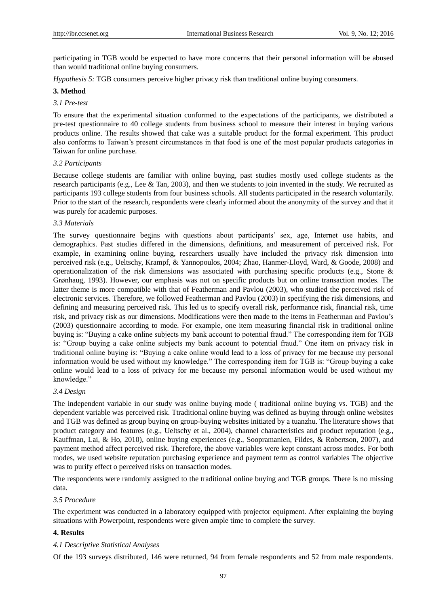participating in TGB would be expected to have more concerns that their personal information will be abused than would traditional online buying consumers.

*Hypothesis 5:* TGB consumers perceive higher privacy risk than traditional online buying consumers.

## **3. Method**

## *3.1 Pre-test*

To ensure that the experimental situation conformed to the expectations of the participants, we distributed a pre-test questionnaire to 40 college students from business school to measure their interest in buying various products online. The results showed that cake was a suitable product for the formal experiment. This product also conforms to Taiwan's present circumstances in that food is one of the most popular products categories in Taiwan for online purchase.

## *3.2 Participants*

Because college students are familiar with online buying, past studies mostly used college students as the research participants (e.g., Lee & Tan, 2003), and then we students to join invented in the study. We recruited as participants 193 college students from four business schools. All students participated in the research voluntarily. Prior to the start of the research, respondents were clearly informed about the anonymity of the survey and that it was purely for academic purposes.

## *3.3 Materials*

The survey questionnaire begins with questions about participants' sex, age, Internet use habits, and demographics. Past studies differed in the dimensions, definitions, and measurement of perceived risk. For example, in examining online buying, researchers usually have included the privacy risk dimension into perceived risk (e.g., Ueltschy, Krampf, & Yannopoulos, 2004; Zhao, Hanmer-Lloyd, Ward, & Goode, 2008) and operationalization of the risk dimensions was associated with purchasing specific products (e.g., Stone & Grønhaug, 1993). However, our emphasis was not on specific products but on online transaction modes. The latter theme is more compatible with that of Featherman and Pavlou (2003), who studied the perceived risk of electronic services. Therefore, we followed Featherman and Pavlou (2003) in specifying the risk dimensions, and defining and measuring perceived risk. This led us to specify overall risk, performance risk, financial risk, time risk, and privacy risk as our dimensions. Modifications were then made to the items in Featherman and Pavlou's (2003) questionnaire according to mode. For example, one item measuring financial risk in traditional online buying is: "Buying a cake online subjects my bank account to potential fraud." The corresponding item for TGB is: "Group buying a cake online subjects my bank account to potential fraud." One item on privacy risk in traditional online buying is: "Buying a cake online would lead to a loss of privacy for me because my personal information would be used without my knowledge." The corresponding item for TGB is: "Group buying a cake online would lead to a loss of privacy for me because my personal information would be used without my knowledge."

# *3.4 Design*

The independent variable in our study was online buying mode ( traditional online buying vs. TGB) and the dependent variable was perceived risk. Ttraditional online buying was defined as buying through online websites and TGB was defined as group buying on group-buying websites initiated by a tuanzhu. The literature shows that product category and features (e.g., Ueltschy et al., 2004), channel characteristics and product reputation (e.g., Kauffman, Lai, & Ho, 2010), online buying experiences (e.g., Soopramanien, Fildes, & Robertson, 2007), and payment method affect perceived risk. Therefore, the above variables were kept constant across modes. For both modes, we used website reputation purchasing experience and payment term as control variables The objective was to purify effect o perceived risks on transaction modes.

The respondents were randomly assigned to the traditional online buying and TGB groups. There is no missing data.

#### *3.5 Procedure*

The experiment was conducted in a laboratory equipped with projector equipment. After explaining the buying situations with Powerpoint, respondents were given ample time to complete the survey.

## **4. Results**

# *4.1 Descriptive Statistical Analyses*

Of the 193 surveys distributed, 146 were returned, 94 from female respondents and 52 from male respondents.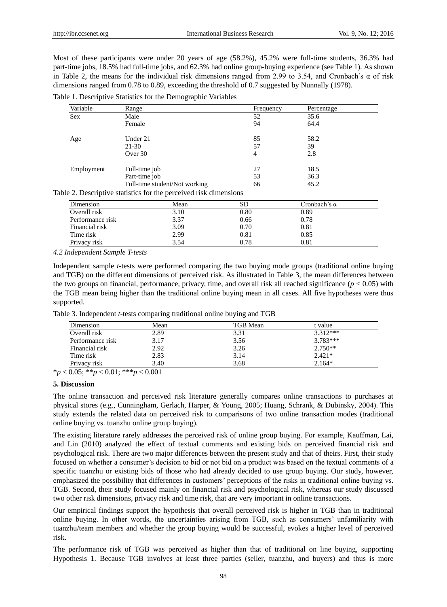Most of these participants were under 20 years of age (58.2%), 45.2% were full-time students, 36.3% had part-time jobs, 18.5% had full-time jobs, and 62.3% had online group-buying experience (see Table 1). As shown in Table 2, the means for the individual risk dimensions ranged from 2.99 to 3.54, and Cronbach's  $\alpha$  of risk dimensions ranged from 0.78 to 0.89, exceeding the threshold of 0.7 suggested by Nunnally (1978).

| Variable         | Range                                                             | Frequency      | Percentage          |
|------------------|-------------------------------------------------------------------|----------------|---------------------|
| <b>Sex</b>       | Male                                                              | 52             | 35.6                |
|                  | Female                                                            | 94             | 64.4                |
| Age              | Under 21                                                          | 85             | 58.2                |
|                  | 21-30                                                             | 57             | 39                  |
|                  | Over 30                                                           | $\overline{4}$ | 2.8                 |
| Employment       | Full-time job                                                     | 27             | 18.5                |
|                  | Part-time job                                                     | 53             | 36.3                |
|                  | Full-time student/Not working                                     | 66             | 45.2                |
|                  | Table 2. Descriptive statistics for the perceived risk dimensions |                |                     |
| Dimension        | Mean                                                              | SD.            | Cronbach's $\alpha$ |
| Overall risk     | 3.10                                                              | 0.80           | 0.89                |
| Performance risk | 3.37                                                              | 0.66           | 0.78                |
| Financial risk   | 3.09                                                              | 0.70           | 0.81                |
| Time risk        | 2.99                                                              | 0.81           | 0.85                |
| Privacy risk     | 3.54                                                              | 0.78           | 0.81                |

Table 1. Descriptive Statistics for the Demographic Variables

*4.2 Independent Sample T-tests* 

Independent sample *t*-tests were performed comparing the two buying mode groups (traditional online buying and TGB) on the different dimensions of perceived risk. As illustrated in Table 3, the mean differences between the two groups on financial, performance, privacy, time, and overall risk all reached significance ( $p < 0.05$ ) with the TGB mean being higher than the traditional online buying mean in all cases. All five hypotheses were thus supported.

| Table 3. Independent <i>t</i> -tests comparing traditional online buying and TGB |  |  |  |
|----------------------------------------------------------------------------------|--|--|--|
|                                                                                  |  |  |  |
|                                                                                  |  |  |  |
|                                                                                  |  |  |  |

| Dimension        | Mean | TGB Mean | t value    |
|------------------|------|----------|------------|
| Overall risk     | 2.89 | 3.31     | $3.312***$ |
| Performance risk | 3.17 | 3.56     | $3.783***$ |
| Financial risk   | 2.92 | 3.26     | $2.750**$  |
| Time risk        | 2.83 | 3.14     | $2.421*$   |
| Privacy risk     | 3.40 | 3.68     | $2.164*$   |

\**p* < 0.05; \*\**p* < 0.01; \*\*\**p* < 0.001

# **5. Discussion**

The online transaction and perceived risk literature generally compares online transactions to purchases at physical stores (e.g., Cunningham, Gerlach, Harper, & Young, 2005; Huang, Schrank, & Dubinsky, 2004). This study extends the related data on perceived risk to comparisons of two online transaction modes (traditional online buying vs. tuanzhu online group buying).

The existing literature rarely addresses the perceived risk of online group buying. For example, Kauffman, Lai, and Lin (2010) analyzed the effect of textual comments and existing bids on perceived financial risk and psychological risk. There are two major differences between the present study and that of theirs. First, their study focused on whether a consumer's decision to bid or not bid on a product was based on the textual comments of a specific tuanzhu or existing bids of those who had already decided to use group buying. Our study, however, emphasized the possibility that differences in customers' perceptions of the risks in traditional online buying vs. TGB. Second, their study focused mainly on financial risk and psychological risk, whereas our study discussed two other risk dimensions, privacy risk and time risk, that are very important in online transactions.

Our empirical findings support the hypothesis that overall perceived risk is higher in TGB than in traditional online buying. In other words, the uncertainties arising from TGB, such as consumers' unfamiliarity with tuanzhu/team members and whether the group buying would be successful, evokes a higher level of perceived risk.

The performance risk of TGB was perceived as higher than that of traditional on line buying, supporting Hypothesis 1. Because TGB involves at least three parties (seller, tuanzhu, and buyers) and thus is more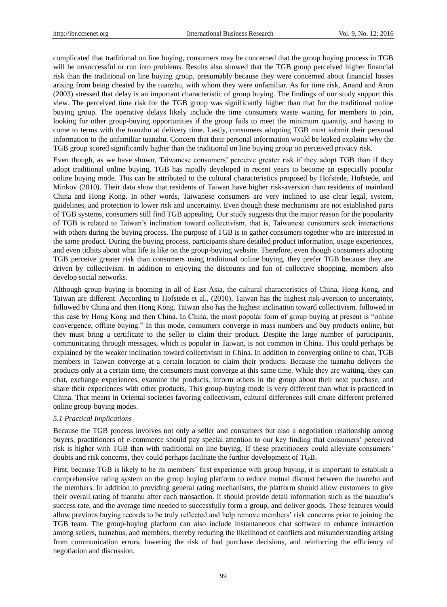complicated that traditional on line buying, consumers may be concerned that the group buying process in TGB will be unsuccessful or run into problems. Results also showed that the TGB group perceived higher financial risk than the traditional on line buying group, presumably because they were concerned about financial losses arising from being cheated by the tuanzhu, with whom they were unfamiliar. As for time risk, Anand and Aron (2003) stressed that delay is an important characteristic of group buying. The findings of our study support this view. The perceived time risk for the TGB group was significantly higher than that for the traditional online buying group. The operative delays likely include the time consumers waste waiting for members to join, looking for other group-buying opportunities if the group fails to meet the minimum quantity, and having to come to terms with the tuanzhu at delivery time. Lastly, consumers adopting TGB must submit their personal information to the unfamiliar tuanzhu. Concern that their personal information would be leaked explains why the TGB group scored significantly higher than the traditional on line buying group on perceived privacy risk.

Even though, as we have shown, Taiwanese consumers' perceive greater risk if they adopt TGB than if they adopt traditional online buying, TGB has rapidly developed in recent years to become an especially popular online buying mode. This can be attributed to the cultural characteristics proposed by Hofstede, Hofstede, and Minkov (2010). Their data show that residents of Taiwan have higher risk-aversion than residents of mainland China and Hong Kong. In other words, Taiwanese consumers are very inclined to use clear legal, system, guidelines, and protection to lower risk and uncertainty. Even though these mechanisms are not established parts of TGB systems, consumers still find TGB appealing. Our study suggests that the major reason for the popularity of TGB is related to Taiwan's inclination toward collectivism, that is, Taiwanese consumers seek interactions with others during the buying process. The purpose of TGB is to gather consumers together who are interested in the same product. During the buying process, participants share detailed product information, usage experiences, and even tidbits about what life is like on the group-buying website. Therefore, even though consumers adopting TGB perceive greater risk than consumers using traditional online buying, they prefer TGB because they are driven by collectivism. In addition to enjoying the discounts and fun of collective shopping, members also develop social networks.

Although group buying is booming in all of East Asia, the cultural characteristics of China, Hong Kong, and Taiwan are different. According to Hofstede et al., (2010), Taiwan has the highest risk-aversion to uncertainty, followed by China and then Hong Kong. Taiwan also has the highest inclination toward collectivism, followed in this case by Hong Kong and then China. In China, the most popular form of group buying at present is "online convergence, offline buying." In this mode, consumers converge in mass numbers and buy products online, but they must bring a certificate to the seller to claim their product. Despite the large number of participants, communicating through messages, which is popular in Taiwan, is not common in China. This could perhaps be explained by the weaker inclination toward collectivism in China. In addition to converging online to chat, TGB members in Taiwan converge at a certain location to claim their products. Because the tuanzhu delivers the products only at a certain time, the consumers must converge at this same time. While they are waiting, they can chat, exchange experiences, examine the products, inform others in the group about their next purchase, and share their experiences with other products. This group-buying mode is very different than what is practiced in China. That means in Oriental societies favoring collectivism, cultural differences still create different preferred online group-buying modes.

## *5.1 Practical Implications*

Because the TGB process involves not only a seller and consumers but also a negotiation relationship among buyers, practitioners of e-commerce should pay special attention to our key finding that consumers' perceived risk is higher with TGB than with traditional on line buying. If these practitioners could alleviate consumers' doubts and risk concerns, they could perhaps facilitate the further development of TGB.

First, because TGB is likely to be its members' first experience with group buying, it is important to establish a comprehensive rating system on the group buying platform to reduce mutual distrust between the tuanzhu and the members. In addition to providing general rating mechanisms, the platform should allow customers to give their overall rating of tuanzhu after each transaction. It should provide detail information such as the tuanzhu's success rate, and the average time needed to successfully form a group, and deliver goods. These features would allow previous buying records to be truly reflected and help remove members' risk concerns prior to joining the TGB team. The group-buying platform can also include instantaneous chat software to enhance interaction among sellers, tuanzhus, and members, thereby reducing the likelihood of conflicts and misunderstanding arising from communication errors, lowering the risk of bad purchase decisions, and reinforcing the efficiency of negotiation and discussion.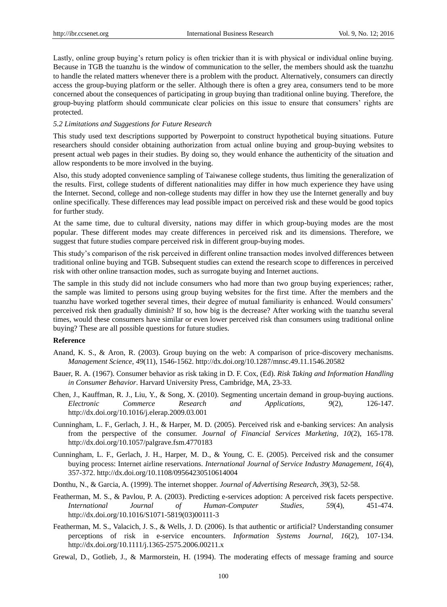Lastly, online group buying's return policy is often trickier than it is with physical or individual online buying. Because in TGB the tuanzhu is the window of communication to the seller, the members should ask the tuanzhu to handle the related matters whenever there is a problem with the product. Alternatively, consumers can directly access the group-buying platform or the seller. Although there is often a grey area, consumers tend to be more concerned about the consequences of participating in group buying than traditional online buying. Therefore, the group-buying platform should communicate clear policies on this issue to ensure that consumers' rights are protected.

#### *5.2 Limitations and Suggestions for Future Research*

This study used text descriptions supported by Powerpoint to construct hypothetical buying situations. Future researchers should consider obtaining authorization from actual online buying and group-buying websites to present actual web pages in their studies. By doing so, they would enhance the authenticity of the situation and allow respondents to be more involved in the buying.

Also, this study adopted convenience sampling of Taiwanese college students, thus limiting the generalization of the results. First, college students of different nationalities may differ in how much experience they have using the Internet. Second, college and non-college students may differ in how they use the Internet generally and buy online specifically. These differences may lead possible impact on perceived risk and these would be good topics for further study.

At the same time, due to cultural diversity, nations may differ in which group-buying modes are the most popular. These different modes may create differences in perceived risk and its dimensions. Therefore, we suggest that future studies compare perceived risk in different group-buying modes.

This study's comparison of the risk perceived in different online transaction modes involved differences between traditional online buying and TGB. Subsequent studies can extend the research scope to differences in perceived risk with other online transaction modes, such as surrogate buying and Internet auctions.

The sample in this study did not include consumers who had more than two group buying experiences; rather, the sample was limited to persons using group buying websites for the first time. After the members and the tuanzhu have worked together several times, their degree of mutual familiarity is enhanced. Would consumers' perceived risk then gradually diminish? If so, how big is the decrease? After working with the tuanzhu several times, would these consumers have similar or even lower perceived risk than consumers using traditional online buying? These are all possible questions for future studies.

## **Reference**

- Anand, K. S., & Aron, R. (2003). Group buying on the web: A comparison of price-discovery mechanisms. *Management Science, 49*(11), 1546-1562. http://dx.doi.org/10.1287/mnsc.49.11.1546.20582
- Bauer, R. A. (1967). Consumer behavior as risk taking in D. F. Cox, (Ed). *Risk Taking and Information Handling in Consumer Behavior*. Harvard University Press, Cambridge, MA, 23-33.
- Chen, J., Kauffman, R. J., Liu, Y., & Song, X. (2010). Segmenting uncertain demand in group-buying auctions. *Electronic Commerce Research and Applications, 9*(2), 126-147. http://dx.doi.org/10.1016/j.elerap.2009.03.001
- Cunningham, L. F., Gerlach, J. H., & Harper, M. D. (2005). Perceived risk and e-banking services: An analysis from the perspective of the consumer. *Journal of Financial Services Marketing, 10*(2), 165-178. http://dx.doi.org/10.1057/palgrave.fsm.4770183
- Cunningham, L. F., Gerlach, J. H., Harper, M. D., & Young, C. E. (2005). Perceived risk and the consumer buying process: Internet airline reservations. *International Journal of Service Industry Management, 16*(4), 357-372. http://dx.doi.org/10.1108/09564230510614004
- Donthu, N., & Garcia, A. (1999). The internet shopper. *Journal of Advertising Research, 39*(3), 52-58.
- Featherman, M. S., & Pavlou, P. A. (2003). Predicting e-services adoption: A perceived risk facets perspective. *International Journal of Human-Computer Studies, 59*(4), 451-474. http://dx.doi.org/10.1016/S1071-5819(03)00111-3
- Featherman, M. S., Valacich, J. S., & Wells, J. D. (2006). Is that authentic or artificial? Understanding consumer perceptions of risk in e-service encounters. *Information Systems Journal, 16*(2), 107-134. http://dx.doi.org/10.1111/j.1365-2575.2006.00211.x
- Grewal, D., Gotlieb, J., & Marmorstein, H. (1994). The moderating effects of message framing and source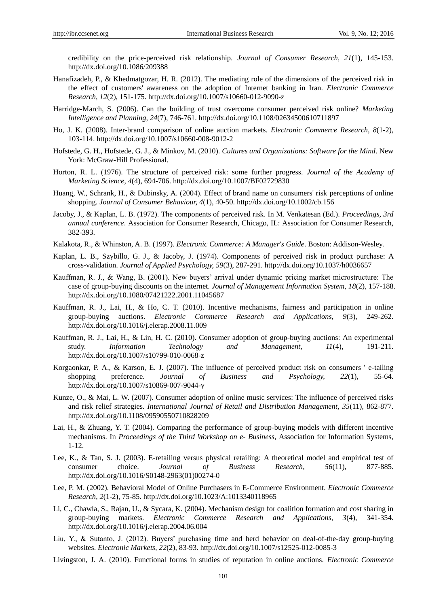credibility on the price-perceived risk relationship. *Journal of Consumer Research, 21*(1), 145-153. http://dx.doi.org/10.1086/209388

- Hanafizadeh, P., & Khedmatgozar, H. R. (2012). The mediating role of the dimensions of the perceived risk in the effect of customers' awareness on the adoption of Internet banking in Iran. *Electronic Commerce Research, 12*(2), 151-175. http://dx.doi.org/10.1007/s10660-012-9090-z
- Harridge-March, S. (2006). Can the building of trust overcome consumer perceived risk online? *Marketing Intelligence and Planning, 24*(7), 746-761. http://dx.doi.org/10.1108/02634500610711897
- Ho, J. K. (2008). Inter-brand comparison of online auction markets. *Electronic Commerce Research, 8*(1-2), 103-114. http://dx.doi.org/10.1007/s10660-008-9012-2
- Hofstede, G. H., Hofstede, G. J., & Minkov, M. (2010). *Cultures and Organizations: Software for the Mind*. New York: McGraw-Hill Professional.
- Horton, R. L. (1976). The structure of perceived risk: some further progress. *Journal of the Academy of Marketing Science, 4*(4), 694-706. http://dx.doi.org/10.1007/BF02729830
- Huang, W., Schrank, H., & Dubinsky, A. (2004). Effect of brand name on consumers' risk perceptions of online shopping. *Journal of Consumer Behaviour, 4*(1), 40-50. http://dx.doi.org/10.1002/cb.156
- Jacoby, J., & Kaplan, L. B. (1972). The components of perceived risk. In M. Venkatesan (Ed.). *Proceedings, 3rd annual conference*. Association for Consumer Research, Chicago, IL: Association for Consumer Research, 382-393.
- Kalakota, R., & Whinston, A. B. (1997). *Electronic Commerce: A Manager's Guide*. Boston: Addison-Wesley.
- Kaplan, L. B., Szybillo, G. J., & Jacoby, J. (1974). Components of perceived risk in product purchase: A cross-validation. *Journal of Applied Psychology, 59*(3), 287-291. http://dx.doi.org/10.1037/h0036657
- Kauffman, R. J., & Wang, B. (2001). New buyers' arrival under dynamic pricing market microstructure: The case of group-buying discounts on the internet. *Journal of Management Information System, 18*(2), 157-188. http://dx.doi.org/10.1080/07421222.2001.11045687
- Kauffman, R. J., Lai, H., & Ho, C. T. (2010). Incentive mechanisms, fairness and participation in online group-buying auctions. *Electronic Commerce Research and Applications, 9*(3), 249-262. http://dx.doi.org[/10.1016/j.elerap.2008.11.009](http://dx.doi.org/10.1016/j.elerap.2008.11.009)
- Kauffman, R. J., Lai, H., & Lin, H. C. (2010). Consumer adoption of group-buying auctions: An experimental study. *Information Technology and Management, 11*(4), 191-211. http://dx.doi.org/10.1007/s10799-010-0068-z
- Korgaonkar, P. A., & Karson, E. J. (2007). The influence of perceived product risk on consumers ' e-tailing shopping preference. *Journal of Business and Psychology, 22*(1), 55-64. http://dx.doi.org/10.1007/s10869-007-9044-y
- Kunze, O., & Mai, L. W. (2007). Consumer adoption of online music services: The influence of perceived risks and risk relief strategies. *International Journal of Retail and Distribution Management, 35*(11), 862-877. http://dx.doi.org/10.1108/09590550710828209
- Lai, H., & Zhuang, Y. T. (2004). Comparing the performance of group-buying models with different incentive mechanisms. In *Proceedings of the Third Workshop on e- Business*, Association for Information Systems, 1-12.
- Lee, K., & Tan, S. J. (2003). E-retailing versus physical retailing: A theoretical model and empirical test of consumer choice. *Journal of Business Research, 56*(11), 877-885. http://dx.doi.org/10.1016/S0148-2963(01)00274-0
- Lee, P. M. (2002). Behavioral Model of Online Purchasers in E-Commerce Environment. *Electronic Commerce Research*, *2*(1-2), 75-85. http://dx.doi.org/10.1023/A:1013340118965
- Li, C., Chawla, S., Rajan, U., & Sycara, K. (2004). Mechanism design for coalition formation and cost sharing in group-buying markets. *Electronic Commerce Research and Applications, 3*(4), 341-354. http://dx.doi.org/10.1016/j.elerap.2004.06.004
- Liu, Y., & Sutanto, J. (2012). Buyers' purchasing time and herd behavior on deal-of-the-day group-buying websites. *Electronic Markets*, *22*(2), 83-93. http://dx.doi.org/10.1007/s12525-012-0085-3
- Livingston, J. A. (2010). Functional forms in studies of reputation in online auctions. *Electronic Commerce*